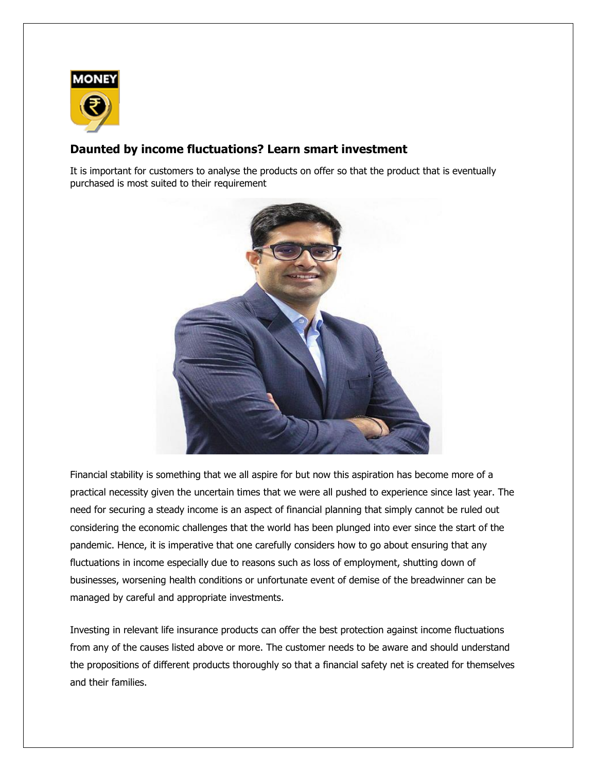

## **Daunted by income fluctuations? Learn smart investment**

It is important for customers to analyse the products on offer so that the product that is eventually purchased is most suited to their requirement



Financial stability is something that we all aspire for but now this aspiration has become more of a practical necessity given the uncertain times that we were all pushed to experience since last year. The need for securing a steady income is an aspect of financial planning that simply cannot be ruled out considering the economic challenges that the world has been plunged into ever since the start of the pandemic. Hence, it is imperative that one carefully considers how to go about ensuring that any fluctuations in income especially due to reasons such as loss of employment, shutting down of businesses, worsening health conditions or unfortunate event of demise of the breadwinner can be managed by careful and appropriate investments.

Investing in relevant life insurance products can offer the best protection against income fluctuations from any of the causes listed above or more. The customer needs to be aware and should understand the propositions of different products thoroughly so that a financial safety net is created for themselves and their families.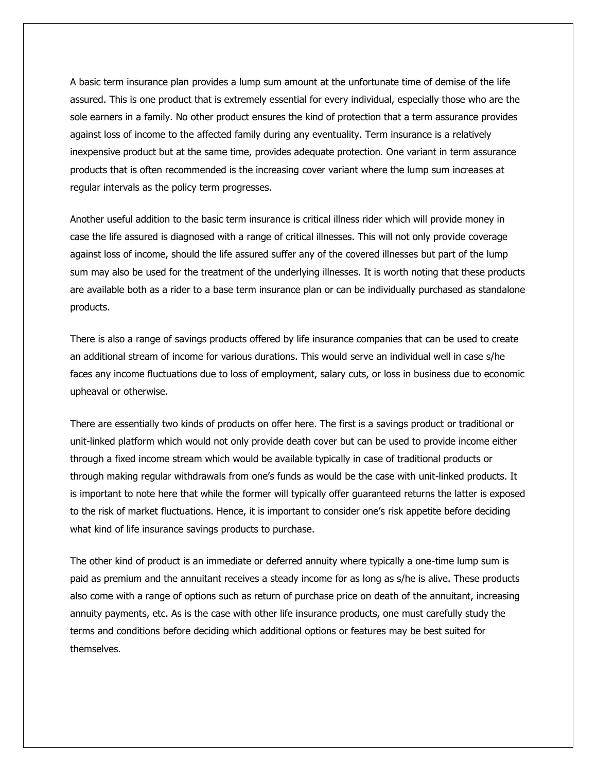A basic term insurance plan provides a lump sum amount at the unfortunate time of demise of the life assured. This is one product that is extremely essential for every individual, especially those who are the sole earners in a family. No other product ensures the kind of protection that a term assurance provides against loss of income to the affected family during any eventuality. Term insurance is a relatively inexpensive product but at the same time, provides adequate protection. One variant in term assurance products that is often recommended is the increasing cover variant where the lump sum increases at regular intervals as the policy term progresses.

Another useful addition to the basic term insurance is critical illness rider which will provide money in case the life assured is diagnosed with a range of critical illnesses. This will not only provide coverage against loss of income, should the life assured suffer any of the covered illnesses but part of the lump sum may also be used for the treatment of the underlying illnesses. It is worth noting that these products are available both as a rider to a base term insurance plan or can be individually purchased as standalone products.

There is also a range of savings products offered by life insurance companies that can be used to create an additional stream of income for various durations. This would serve an individual well in case s/he faces any income fluctuations due to loss of employment, salary cuts, or loss in business due to economic upheaval or otherwise.

There are essentially two kinds of products on offer here. The first is a savings product or traditional or unit-linked platform which would not only provide death cover but can be used to provide income either through a fixed income stream which would be available typically in case of traditional products or through making regular withdrawals from one's funds as would be the case with unit-linked products. It is important to note here that while the former will typically offer guaranteed returns the latter is exposed to the risk of market fluctuations. Hence, it is important to consider one's risk appetite before deciding what kind of life insurance savings products to purchase.

The other kind of product is an immediate or deferred annuity where typically a one-time lump sum is paid as premium and the annuitant receives a steady income for as long as s/he is alive. These products also come with a range of options such as return of purchase price on death of the annuitant, increasing annuity payments, etc. As is the case with other life insurance products, one must carefully study the terms and conditions before deciding which additional options or features may be best suited for themselves.